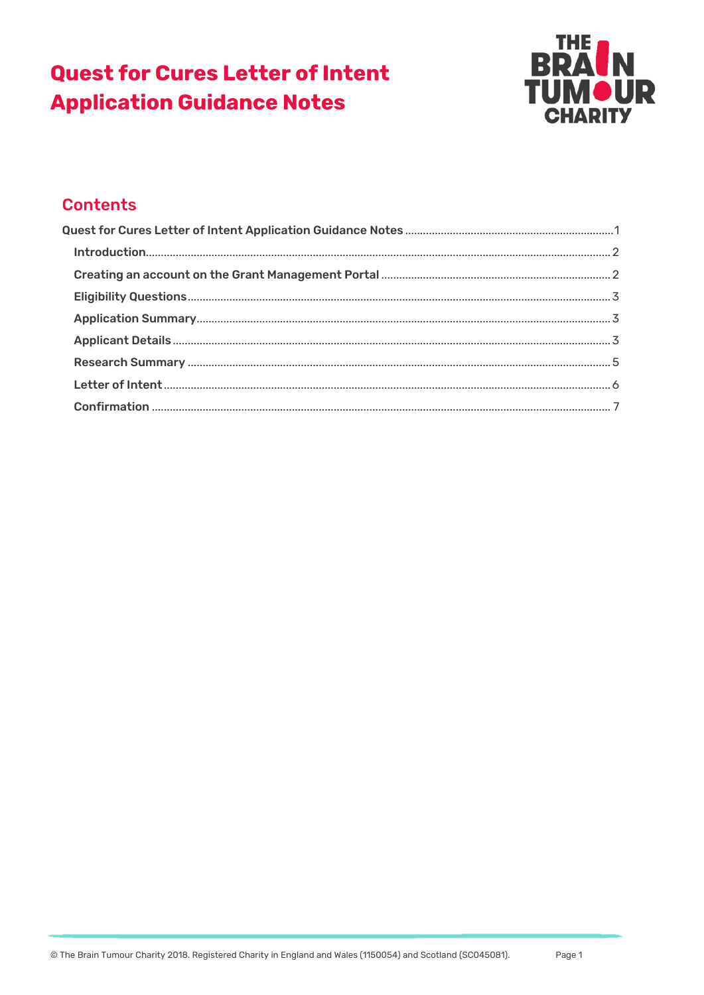# **Quest for Cures Letter of Intent Application Guidance Notes**



# **Contents**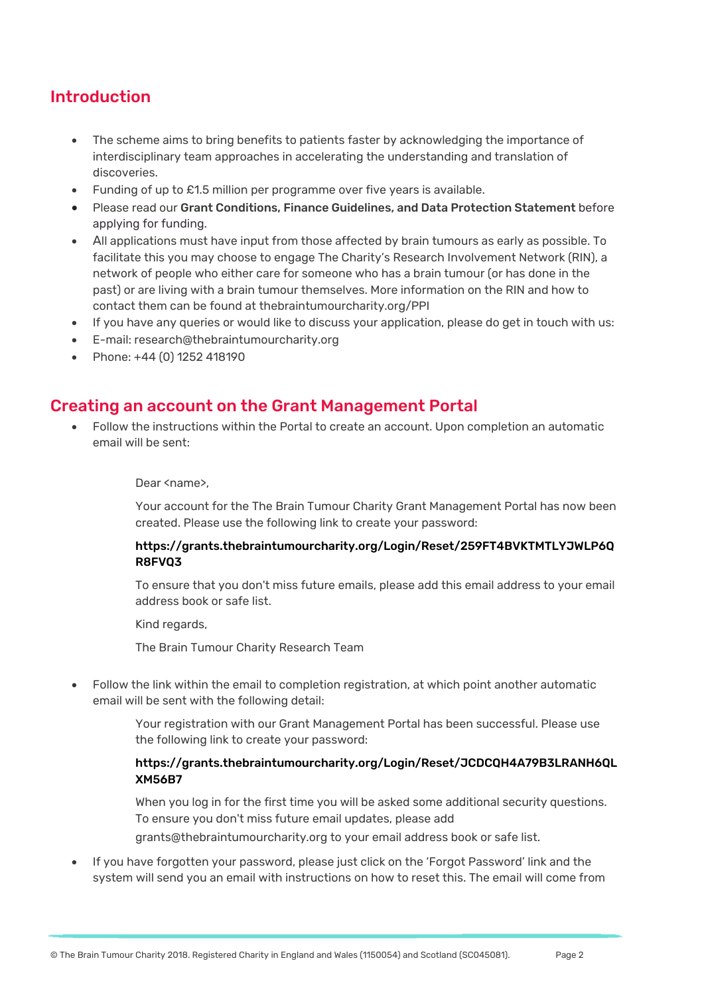### Introduction

- The scheme aims to bring benefits to patients faster by acknowledging the importance of interdisciplinary team approaches in accelerating the understanding and translation of discoveries.
- Funding of up to £1.5 million per programme over five years is available.
- Please read our Grant Conditions, Finance Guidelines, and Data Protection Statement before applying for funding.
- All applications must have input from those affected by brain tumours as early as possible. To facilitate this you may choose to engage The Charity's Research Involvement Network (RIN), a network of people who either care for someone who has a brain tumour (or has done in the past) or are living with a brain tumour themselves. More information on the RIN and how to contact them can be found at thebraintumourcharity.org/PPI
- If you have any queries or would like to discuss your application, please do get in touch with us:
- E-mail: research@thebraintumourcharity.org
- Phone: +44 (0) 1252 418190

### Creating an account on the Grant Management Portal

 Follow the instructions within the Portal to create an account. Upon completion an automatic email will be sent:

#### Dear <name>.

Your account for the The Brain Tumour Charity Grant Management Portal has now been created. Please use the following link to create your password:

#### https://grants.thebraintumourcharity.org/Login/Reset/259FT4BVKTMTLYJWLP6Q R8FVQ3

To ensure that you don't miss future emails, please add this email address to your email address book or safe list.

Kind regards,

The Brain Tumour Charity Research Team

 Follow the link within the email to completion registration, at which point another automatic email will be sent with the following detail:

> Your registration with our Grant Management Portal has been successful. Please use the following link to create your password:

#### https://grants.thebraintumourcharity.org/Login/Reset/JCDCQH4A79B3LRANH6QL XM56B7

When you log in for the first time you will be asked some additional security questions. To ensure you don't miss future email updates, please add grants@thebraintumourcharity.org to your email address book or safe list.

 If you have forgotten your password, please just click on the 'Forgot Password' link and the system will send you an email with instructions on how to reset this. The email will come from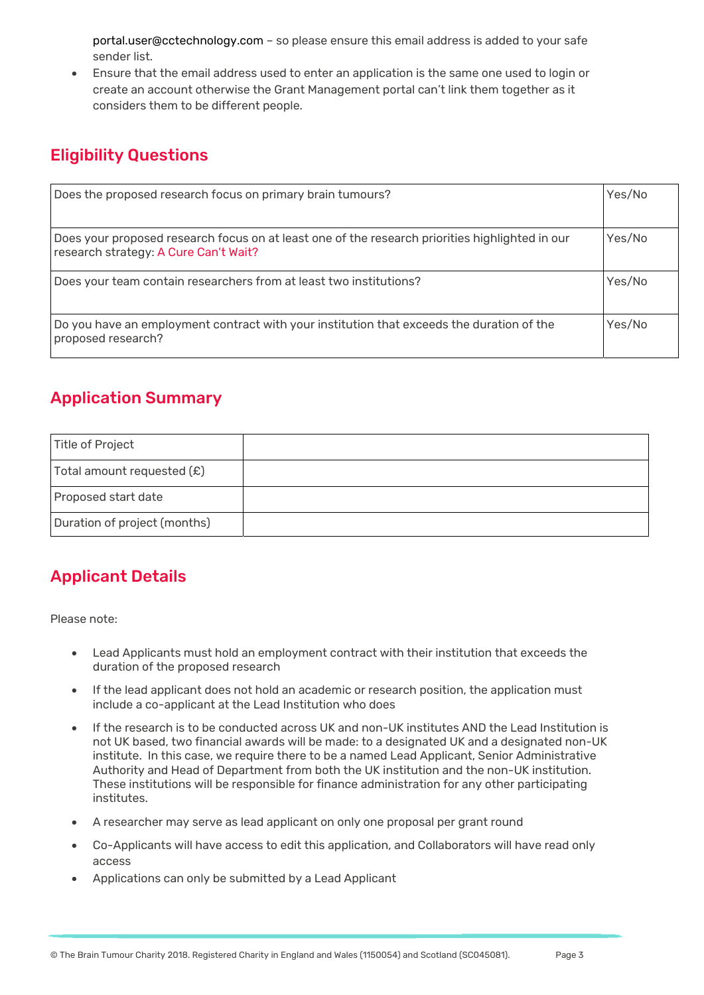portal.user@cctechnology.com – so please ensure this email address is added to your safe sender list.

 Ensure that the email address used to enter an application is the same one used to login or create an account otherwise the Grant Management portal can't link them together as it considers them to be different people.

### Eligibility Questions

| Does the proposed research focus on primary brain tumours?                                                                               | Yes/No |
|------------------------------------------------------------------------------------------------------------------------------------------|--------|
| Does your proposed research focus on at least one of the research priorities highlighted in our<br>research strategy: A Cure Can't Wait? | Yes/No |
| Does your team contain researchers from at least two institutions?                                                                       | Yes/No |
| Do you have an employment contract with your institution that exceeds the duration of the<br>proposed research?                          | Yes/No |

## Application Summary

| Title of Project             |  |
|------------------------------|--|
| Total amount requested $(E)$ |  |
| Proposed start date          |  |
| Duration of project (months) |  |

## Applicant Details

Please note:

- Lead Applicants must hold an employment contract with their institution that exceeds the duration of the proposed research
- If the lead applicant does not hold an academic or research position, the application must include a co-applicant at the Lead Institution who does
- If the research is to be conducted across UK and non-UK institutes AND the Lead Institution is not UK based, two financial awards will be made: to a designated UK and a designated non-UK institute. In this case, we require there to be a named Lead Applicant, Senior Administrative Authority and Head of Department from both the UK institution and the non-UK institution. These institutions will be responsible for finance administration for any other participating institutes.
- A researcher may serve as lead applicant on only one proposal per grant round
- Co-Applicants will have access to edit this application, and Collaborators will have read only access
- Applications can only be submitted by a Lead Applicant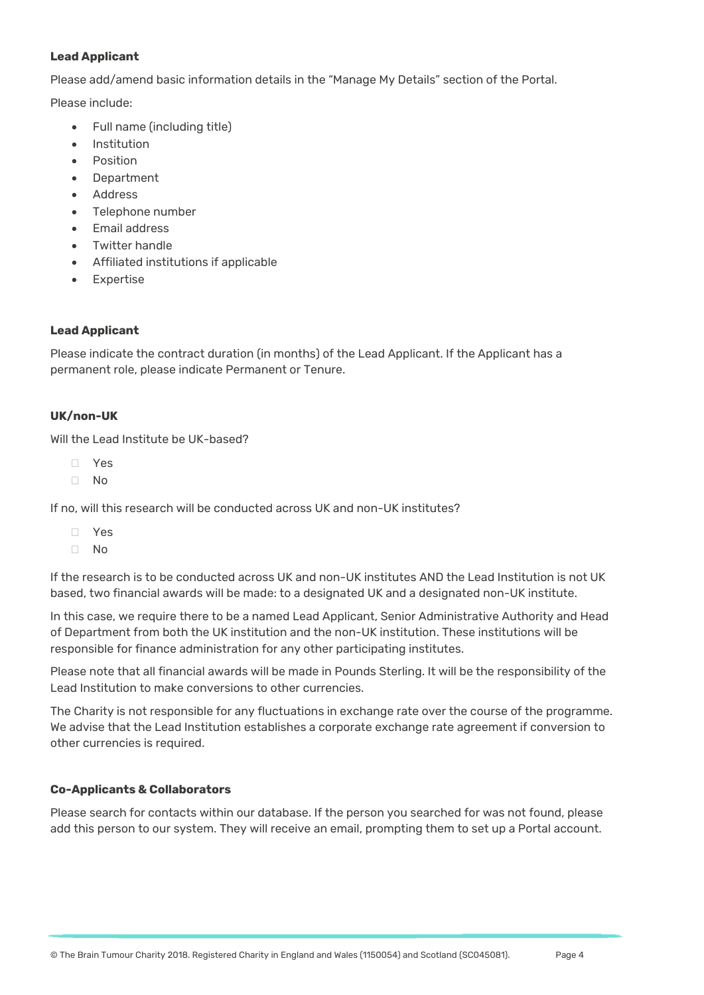#### **Lead Applicant**

Please add/amend basic information details in the "Manage My Details" section of the Portal.

Please include:

- Full name (including title)
- Institution
- Position
- **Department**
- Address
- Telephone number
- Email address
- Twitter handle
- Affiliated institutions if applicable
- Expertise

#### **Lead Applicant**

Please indicate the contract duration (in months) of the Lead Applicant. If the Applicant has a permanent role, please indicate Permanent or Tenure.

#### **UK/non-UK**

Will the Lead Institute be UK-based?

- Yes
- No

If no, will this research will be conducted across UK and non-UK institutes?

- Yes
- $\neg$  No

If the research is to be conducted across UK and non-UK institutes AND the Lead Institution is not UK based, two financial awards will be made: to a designated UK and a designated non-UK institute.

In this case, we require there to be a named Lead Applicant, Senior Administrative Authority and Head of Department from both the UK institution and the non-UK institution. These institutions will be responsible for finance administration for any other participating institutes.

Please note that all financial awards will be made in Pounds Sterling. It will be the responsibility of the Lead Institution to make conversions to other currencies.

The Charity is not responsible for any fluctuations in exchange rate over the course of the programme. We advise that the Lead Institution establishes a corporate exchange rate agreement if conversion to other currencies is required.

#### **Co-Applicants & Collaborators**

Please search for contacts within our database. If the person you searched for was not found, please add this person to our system. They will receive an email, prompting them to set up a Portal account.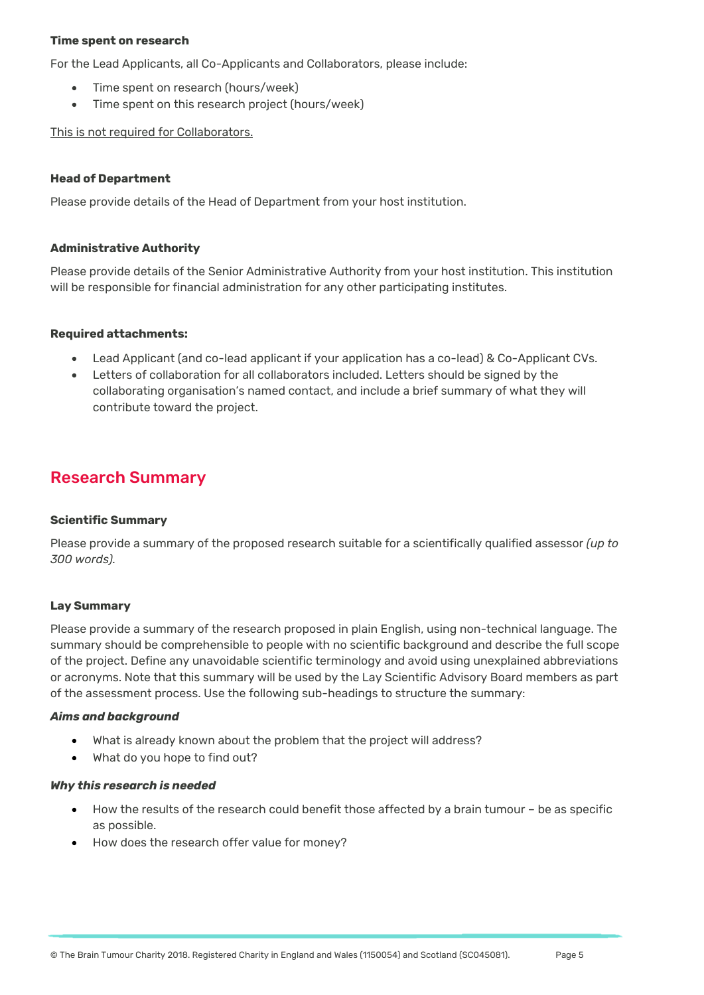#### **Time spent on research**

For the Lead Applicants, all Co-Applicants and Collaborators, please include:

- Time spent on research (hours/week)
- Time spent on this research project (hours/week)

This is not required for Collaborators.

#### **Head of Department**

Please provide details of the Head of Department from your host institution.

#### **Administrative Authority**

Please provide details of the Senior Administrative Authority from your host institution. This institution will be responsible for financial administration for any other participating institutes.

#### **Required attachments:**

- Lead Applicant (and co-lead applicant if your application has a co-lead) & Co-Applicant CVs.
- Letters of collaboration for all collaborators included. Letters should be signed by the collaborating organisation's named contact, and include a brief summary of what they will contribute toward the project.

### Research Summary

#### **Scientific Summary**

Please provide a summary of the proposed research suitable for a scientifically qualified assessor *(up to 300 words).*

#### **Lay Summary**

Please provide a summary of the research proposed in plain English, using non-technical language. The summary should be comprehensible to people with no scientific background and describe the full scope of the project. Define any unavoidable scientific terminology and avoid using unexplained abbreviations or acronyms. Note that this summary will be used by the Lay Scientific Advisory Board members as part of the assessment process. Use the following sub-headings to structure the summary:

#### *Aims and background*

- What is already known about the problem that the project will address?
- What do you hope to find out?

#### *Why this research is needed*

- How the results of the research could benefit those affected by a brain tumour be as specific as possible.
- How does the research offer value for money?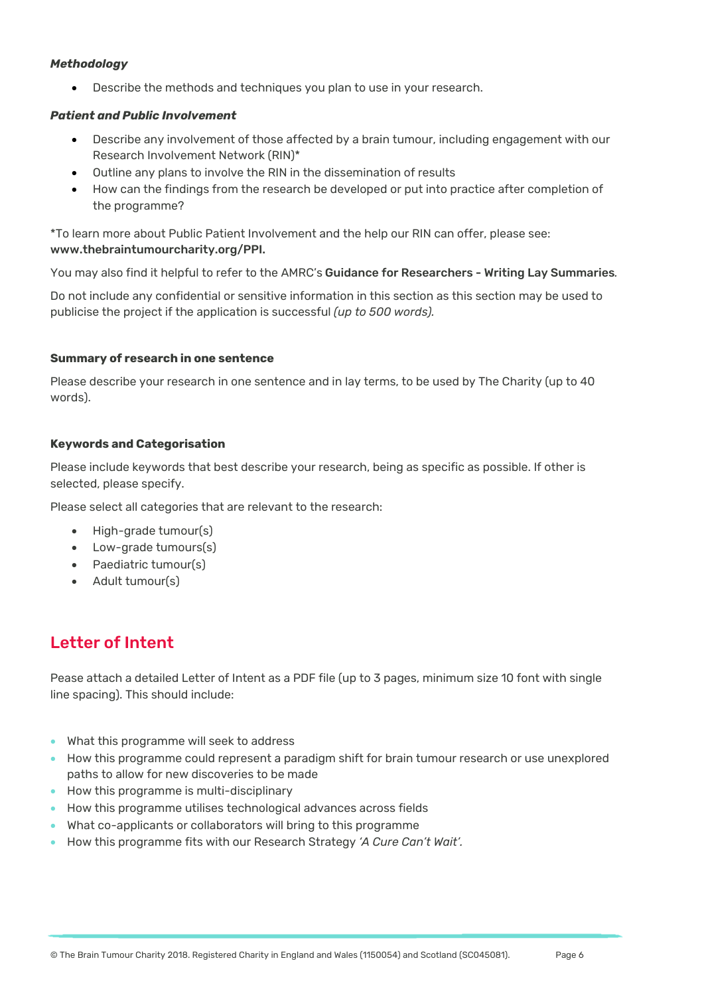#### *Methodology*

Describe the methods and techniques you plan to use in your research.

#### *Patient and Public Involvement*

- Describe any involvement of those affected by a brain tumour, including engagement with our Research Involvement Network (RIN)\*
- Outline any plans to involve the RIN in the dissemination of results
- How can the findings from the research be developed or put into practice after completion of the programme?

\*To learn more about Public Patient Involvement and the help our RIN can offer, please see: www.thebraintumourcharity.org/PPI.

You may also find it helpful to refer to the AMRC's Guidance for Researchers - Writing Lay Summaries*.*

Do not include any confidential or sensitive information in this section as this section may be used to publicise the project if the application is successful *(up to 500 words).*

#### **Summary of research in one sentence**

Please describe your research in one sentence and in lay terms, to be used by The Charity (up to 40 words).

#### **Keywords and Categorisation**

Please include keywords that best describe your research, being as specific as possible. If other is selected, please specify.

Please select all categories that are relevant to the research:

- High-grade tumour(s)
- Low-grade tumours(s)
- Paediatric tumour(s)
- Adult tumour(s)

## Letter of Intent

Pease attach a detailed Letter of Intent as a PDF file (up to 3 pages, minimum size 10 font with single line spacing). This should include:

- What this programme will seek to address
- How this programme could represent a paradigm shift for brain tumour research or use unexplored paths to allow for new discoveries to be made
- How this programme is multi-disciplinary
- How this programme utilises technological advances across fields
- What co-applicants or collaborators will bring to this programme
- How this programme fits with our Research Strategy *'A Cure Can't Wait'.*